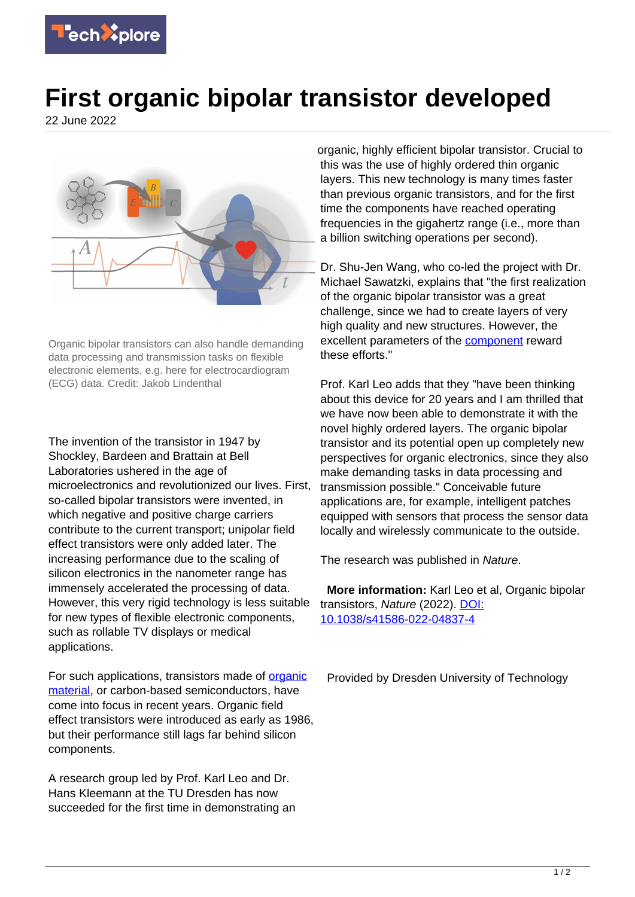

## **First organic bipolar transistor developed**

22 June 2022



Organic bipolar transistors can also handle demanding data processing and transmission tasks on flexible electronic elements, e.g. here for electrocardiogram (ECG) data. Credit: Jakob Lindenthal

The invention of the transistor in 1947 by Shockley, Bardeen and Brattain at Bell Laboratories ushered in the age of microelectronics and revolutionized our lives. First, so-called bipolar transistors were invented, in which negative and positive charge carriers contribute to the current transport; unipolar field effect transistors were only added later. The increasing performance due to the scaling of silicon electronics in the nanometer range has immensely accelerated the processing of data. However, this very rigid technology is less suitable for new types of flexible electronic components, such as rollable TV displays or medical applications.

For such applications, transistors made of [organic](https://techxplore.com/tags/organic+material/) [material](https://techxplore.com/tags/organic+material/), or carbon-based semiconductors, have come into focus in recent years. Organic field effect transistors were introduced as early as 1986, but their performance still lags far behind silicon components.

A research group led by Prof. Karl Leo and Dr. Hans Kleemann at the TU Dresden has now succeeded for the first time in demonstrating an organic, highly efficient bipolar transistor. Crucial to this was the use of highly ordered thin organic layers. This new technology is many times faster than previous organic transistors, and for the first time the components have reached operating frequencies in the gigahertz range (i.e., more than a billion switching operations per second).

Dr. Shu-Jen Wang, who co-led the project with Dr. Michael Sawatzki, explains that "the first realization of the organic bipolar transistor was a great challenge, since we had to create layers of very high quality and new structures. However, the excellent parameters of the **component** reward these efforts."

Prof. Karl Leo adds that they "have been thinking about this device for 20 years and I am thrilled that we have now been able to demonstrate it with the novel highly ordered layers. The organic bipolar transistor and its potential open up completely new perspectives for organic electronics, since they also make demanding tasks in data processing and transmission possible." Conceivable future applications are, for example, intelligent patches equipped with sensors that process the sensor data locally and wirelessly communicate to the outside.

The research was published in Nature.

 **More information:** Karl Leo et al, Organic bipolar transistors, Nature (2022). [DOI:](https://dx.doi.org/10.1038/s41586-022-04837-4) [10.1038/s41586-022-04837-4](https://dx.doi.org/10.1038/s41586-022-04837-4)

Provided by Dresden University of Technology